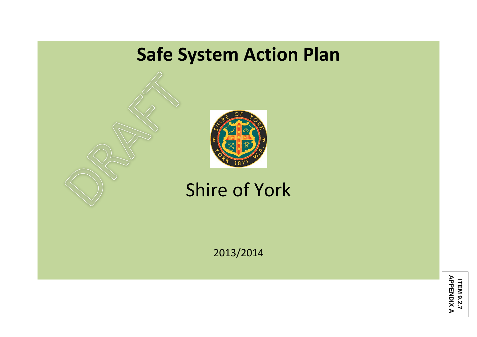## **Safe System Action Plan**



Shire of York

2013/2014

**ITEM 9.2.7 APPENDIX ITEM 9.2.7<br>APPENDIX A**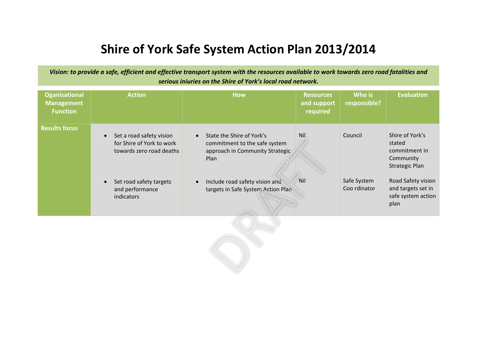## **Shire of York Safe System Action Plan 2013/2014**

*Vision: to provide a safe, efficient and effective transport system with the resources available to work towards zero road fatalities and serious injuries on the Shire of York's local road network.*

| <b>Oganisational</b><br><b>Management</b><br><b>Function</b> | <b>Action</b>                                                                                  | <b>How</b>                                                                                                   | <b>Resources</b><br>and support<br>required | Who is<br>responsible?      | <b>Evaluation</b>                                                                |
|--------------------------------------------------------------|------------------------------------------------------------------------------------------------|--------------------------------------------------------------------------------------------------------------|---------------------------------------------|-----------------------------|----------------------------------------------------------------------------------|
| <b>Results focus</b>                                         | Set a road safety vision<br>$\bullet$<br>for Shire of York to work<br>towards zero road deaths | State the Shire of York's<br>commitment to the safe system<br>approach in Community Strategic<br><b>Plan</b> | <b>Nil</b>                                  | Council                     | Shire of York's<br>stated<br>commitment in<br>Community<br><b>Strategic Plan</b> |
|                                                              | Set road safety targets<br>$\bullet$<br>and performance<br>indicators                          | Include road safety vision and<br>targets in Safe System Action Plan                                         | Nil                                         | Safe System<br>Coo rdinator | Road Safety vision<br>and targets set in<br>safe system action<br>plan           |
|                                                              |                                                                                                |                                                                                                              |                                             |                             |                                                                                  |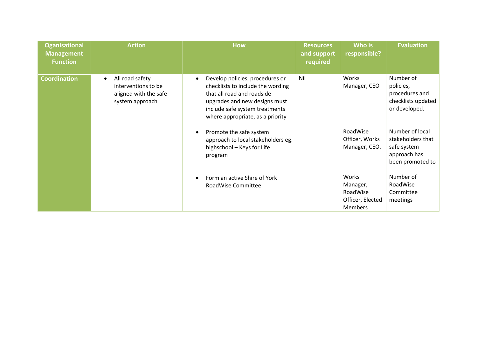| <b>Oganisational</b><br><b>Management</b><br><b>Function</b> | <b>Action</b>                                                                                   | <b>How</b>                                                                                                                                                                                                             | <b>Resources</b><br>and support<br>required | Who is<br>responsible?                                              | <b>Evaluation</b>                                                                       |
|--------------------------------------------------------------|-------------------------------------------------------------------------------------------------|------------------------------------------------------------------------------------------------------------------------------------------------------------------------------------------------------------------------|---------------------------------------------|---------------------------------------------------------------------|-----------------------------------------------------------------------------------------|
| <b>Coordination</b>                                          | All road safety<br>$\bullet$<br>interventions to be<br>aligned with the safe<br>system approach | Develop policies, procedures or<br>$\bullet$<br>checklists to include the wording<br>that all road and roadside<br>upgrades and new designs must<br>include safe system treatments<br>where appropriate, as a priority | Nil                                         | Works<br>Manager, CEO                                               | Number of<br>policies,<br>procedures and<br>checklists updated<br>or developed.         |
|                                                              |                                                                                                 | Promote the safe system<br>approach to local stakeholders eg.<br>highschool - Keys for Life<br>program                                                                                                                 |                                             | RoadWise<br>Officer, Works<br>Manager, CEO.                         | Number of local<br>stakeholders that<br>safe system<br>approach has<br>been promoted to |
|                                                              |                                                                                                 | Form an active Shire of York<br>RoadWise Committee                                                                                                                                                                     |                                             | Works<br>Manager,<br>RoadWise<br>Officer, Elected<br><b>Members</b> | Number of<br>RoadWise<br>Committee<br>meetings                                          |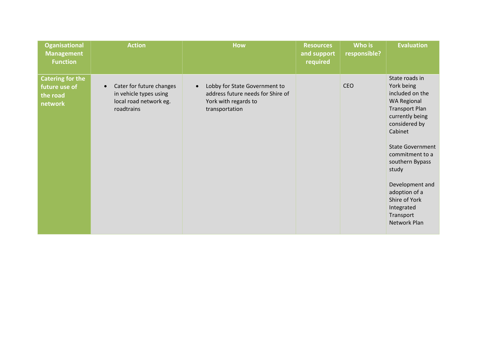| <b>Oganisational</b><br><b>Management</b><br><b>Function</b>    | <b>Action</b>                                                                                           | <b>How</b>                                                                                                                | <b>Resources</b><br>and support<br>required | Who is<br>responsible? | <b>Evaluation</b>                                                                                                                                                                                                                                                                                                       |
|-----------------------------------------------------------------|---------------------------------------------------------------------------------------------------------|---------------------------------------------------------------------------------------------------------------------------|---------------------------------------------|------------------------|-------------------------------------------------------------------------------------------------------------------------------------------------------------------------------------------------------------------------------------------------------------------------------------------------------------------------|
| <b>Catering for the</b><br>future use of<br>the road<br>network | Cater for future changes<br>$\bullet$<br>in vehicle types using<br>local road network eg.<br>roadtrains | Lobby for State Government to<br>$\bullet$<br>address future needs for Shire of<br>York with regards to<br>transportation |                                             | <b>CEO</b>             | State roads in<br>York being<br>included on the<br><b>WA Regional</b><br><b>Transport Plan</b><br>currently being<br>considered by<br>Cabinet<br><b>State Government</b><br>commitment to a<br>southern Bypass<br>study<br>Development and<br>adoption of a<br>Shire of York<br>Integrated<br>Transport<br>Network Plan |